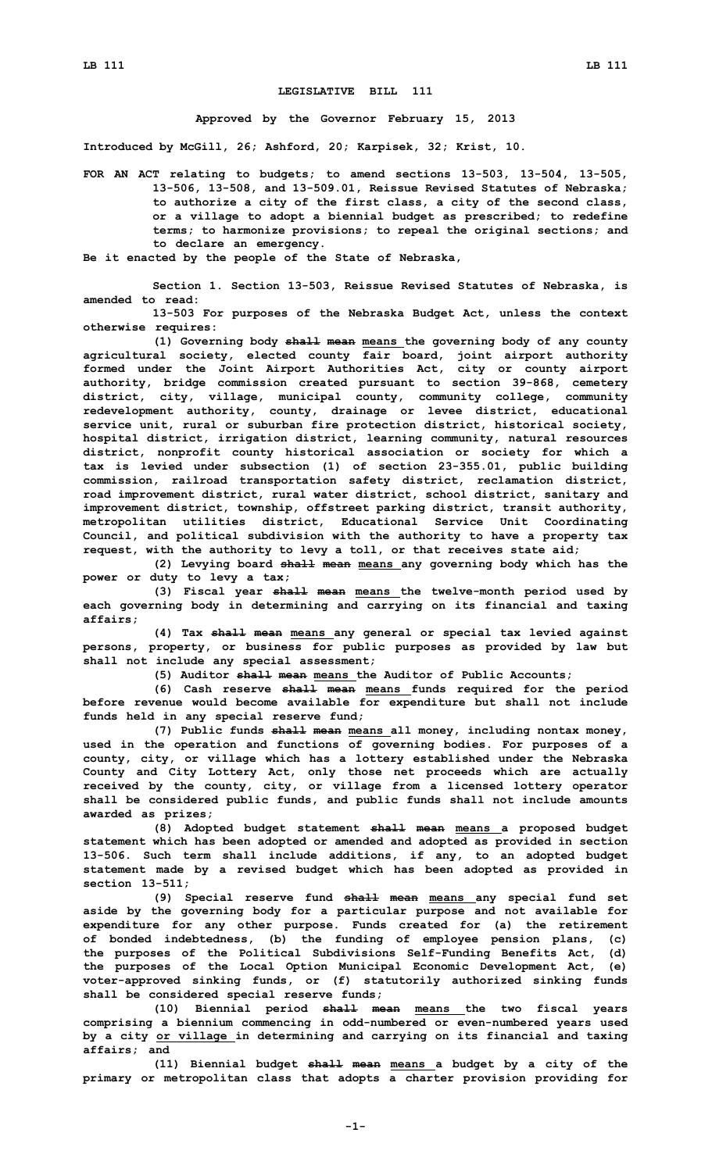## **LEGISLATIVE BILL 111**

**Approved by the Governor February 15, 2013**

**Introduced by McGill, 26; Ashford, 20; Karpisek, 32; Krist, 10.**

**FOR AN ACT relating to budgets; to amend sections 13-503, 13-504, 13-505, 13-506, 13-508, and 13-509.01, Reissue Revised Statutes of Nebraska; to authorize <sup>a</sup> city of the first class, <sup>a</sup> city of the second class, or <sup>a</sup> village to adopt <sup>a</sup> biennial budget as prescribed; to redefine terms; to harmonize provisions; to repeal the original sections; and to declare an emergency.**

**Be it enacted by the people of the State of Nebraska,**

**Section 1. Section 13-503, Reissue Revised Statutes of Nebraska, is amended to read:**

**13-503 For purposes of the Nebraska Budget Act, unless the context otherwise requires:**

**(1) Governing body shall mean means the governing body of any county agricultural society, elected county fair board, joint airport authority formed under the Joint Airport Authorities Act, city or county airport authority, bridge commission created pursuant to section 39-868, cemetery district, city, village, municipal county, community college, community redevelopment authority, county, drainage or levee district, educational service unit, rural or suburban fire protection district, historical society, hospital district, irrigation district, learning community, natural resources district, nonprofit county historical association or society for which <sup>a</sup> tax is levied under subsection (1) of section 23-355.01, public building commission, railroad transportation safety district, reclamation district, road improvement district, rural water district, school district, sanitary and improvement district, township, offstreet parking district, transit authority, metropolitan utilities district, Educational Service Unit Coordinating Council, and political subdivision with the authority to have <sup>a</sup> property tax request, with the authority to levy <sup>a</sup> toll, or that receives state aid;**

**(2) Levying board shall mean means any governing body which has the power or duty to levy <sup>a</sup> tax;**

**(3) Fiscal year shall mean means the twelve-month period used by each governing body in determining and carrying on its financial and taxing affairs;**

**(4) Tax shall mean means any general or special tax levied against persons, property, or business for public purposes as provided by law but shall not include any special assessment;**

**(5) Auditor shall mean means the Auditor of Public Accounts;**

**(6) Cash reserve shall mean means funds required for the period before revenue would become available for expenditure but shall not include funds held in any special reserve fund;**

**(7) Public funds shall mean means all money, including nontax money, used in the operation and functions of governing bodies. For purposes of <sup>a</sup> county, city, or village which has <sup>a</sup> lottery established under the Nebraska County and City Lottery Act, only those net proceeds which are actually received by the county, city, or village from <sup>a</sup> licensed lottery operator shall be considered public funds, and public funds shall not include amounts awarded as prizes;**

**(8) Adopted budget statement shall mean means <sup>a</sup> proposed budget statement which has been adopted or amended and adopted as provided in section 13-506. Such term shall include additions, if any, to an adopted budget statement made by <sup>a</sup> revised budget which has been adopted as provided in section 13-511;**

**(9) Special reserve fund shall mean means any special fund set aside by the governing body for <sup>a</sup> particular purpose and not available for expenditure for any other purpose. Funds created for (a) the retirement of bonded indebtedness, (b) the funding of employee pension plans, (c) the purposes of the Political Subdivisions Self-Funding Benefits Act, (d) the purposes of the Local Option Municipal Economic Development Act, (e) voter-approved sinking funds, or (f) statutorily authorized sinking funds shall be considered special reserve funds;**

**(10) Biennial period shall mean means the two fiscal years comprising <sup>a</sup> biennium commencing in odd-numbered or even-numbered years used by <sup>a</sup> city or village in determining and carrying on its financial and taxing affairs; and**

**(11) Biennial budget shall mean means <sup>a</sup> budget by <sup>a</sup> city of the primary or metropolitan class that adopts <sup>a</sup> charter provision providing for**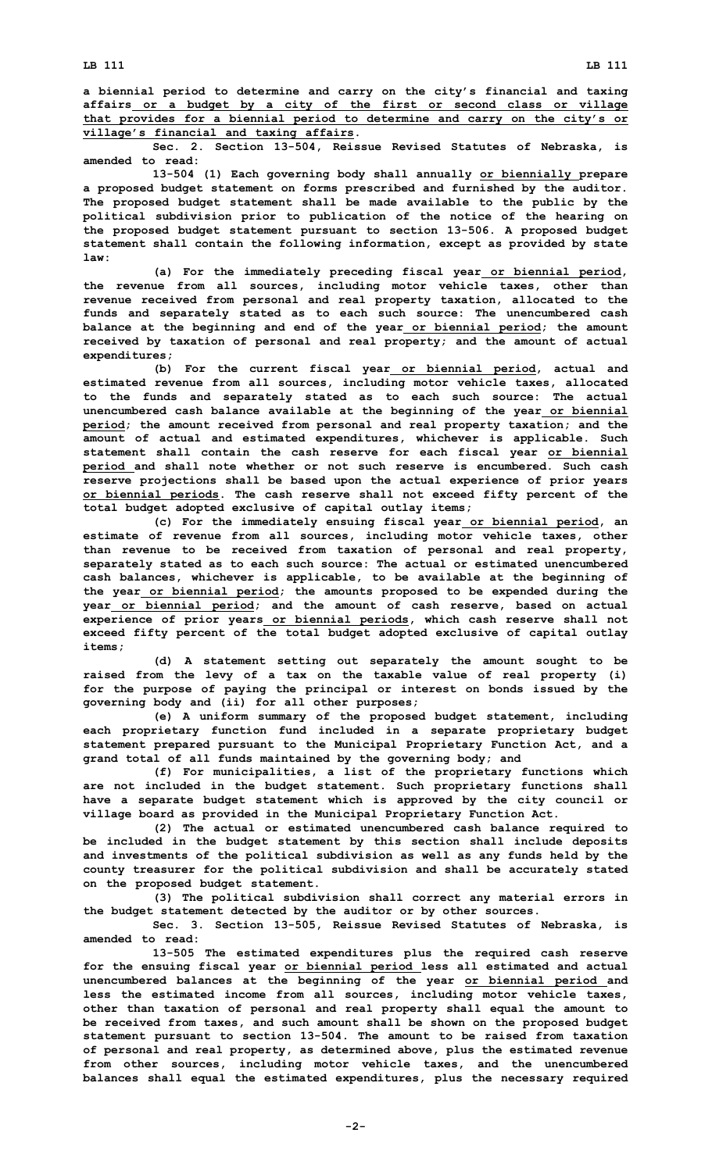**Sec. 2. Section 13-504, Reissue Revised Statutes of Nebraska, is amended to read:**

**13-504 (1) Each governing body shall annually or biennially prepare <sup>a</sup> proposed budget statement on forms prescribed and furnished by the auditor. The proposed budget statement shall be made available to the public by the political subdivision prior to publication of the notice of the hearing on the proposed budget statement pursuant to section 13-506. <sup>A</sup> proposed budget statement shall contain the following information, except as provided by state law:**

**(a) For the immediately preceding fiscal year or biennial period, the revenue from all sources, including motor vehicle taxes, other than revenue received from personal and real property taxation, allocated to the funds and separately stated as to each such source: The unencumbered cash balance at the beginning and end of the year or biennial period; the amount received by taxation of personal and real property; and the amount of actual expenditures;**

**(b) For the current fiscal year or biennial period, actual and estimated revenue from all sources, including motor vehicle taxes, allocated to the funds and separately stated as to each such source: The actual unencumbered cash balance available at the beginning of the year or biennial period; the amount received from personal and real property taxation; and the amount of actual and estimated expenditures, whichever is applicable. Such statement shall contain the cash reserve for each fiscal year or biennial period and shall note whether or not such reserve is encumbered. Such cash reserve projections shall be based upon the actual experience of prior years or biennial periods. The cash reserve shall not exceed fifty percent of the total budget adopted exclusive of capital outlay items;**

**(c) For the immediately ensuing fiscal year or biennial period, an estimate of revenue from all sources, including motor vehicle taxes, other than revenue to be received from taxation of personal and real property, separately stated as to each such source: The actual or estimated unencumbered cash balances, whichever is applicable, to be available at the beginning of the year or biennial period; the amounts proposed to be expended during the year or biennial period; and the amount of cash reserve, based on actual experience of prior years or biennial periods, which cash reserve shall not exceed fifty percent of the total budget adopted exclusive of capital outlay items;**

**(d) <sup>A</sup> statement setting out separately the amount sought to be raised from the levy of <sup>a</sup> tax on the taxable value of real property (i) for the purpose of paying the principal or interest on bonds issued by the governing body and (ii) for all other purposes;**

**(e) <sup>A</sup> uniform summary of the proposed budget statement, including each proprietary function fund included in <sup>a</sup> separate proprietary budget statement prepared pursuant to the Municipal Proprietary Function Act, and <sup>a</sup> grand total of all funds maintained by the governing body; and**

**(f) For municipalities, <sup>a</sup> list of the proprietary functions which are not included in the budget statement. Such proprietary functions shall have <sup>a</sup> separate budget statement which is approved by the city council or village board as provided in the Municipal Proprietary Function Act.**

**(2) The actual or estimated unencumbered cash balance required to be included in the budget statement by this section shall include deposits and investments of the political subdivision as well as any funds held by the county treasurer for the political subdivision and shall be accurately stated on the proposed budget statement.**

**(3) The political subdivision shall correct any material errors in the budget statement detected by the auditor or by other sources.**

**Sec. 3. Section 13-505, Reissue Revised Statutes of Nebraska, is amended to read:**

**13-505 The estimated expenditures plus the required cash reserve for the ensuing fiscal year or biennial period less all estimated and actual unencumbered balances at the beginning of the year or biennial period and less the estimated income from all sources, including motor vehicle taxes, other than taxation of personal and real property shall equal the amount to be received from taxes, and such amount shall be shown on the proposed budget statement pursuant to section 13-504. The amount to be raised from taxation of personal and real property, as determined above, plus the estimated revenue from other sources, including motor vehicle taxes, and the unencumbered balances shall equal the estimated expenditures, plus the necessary required**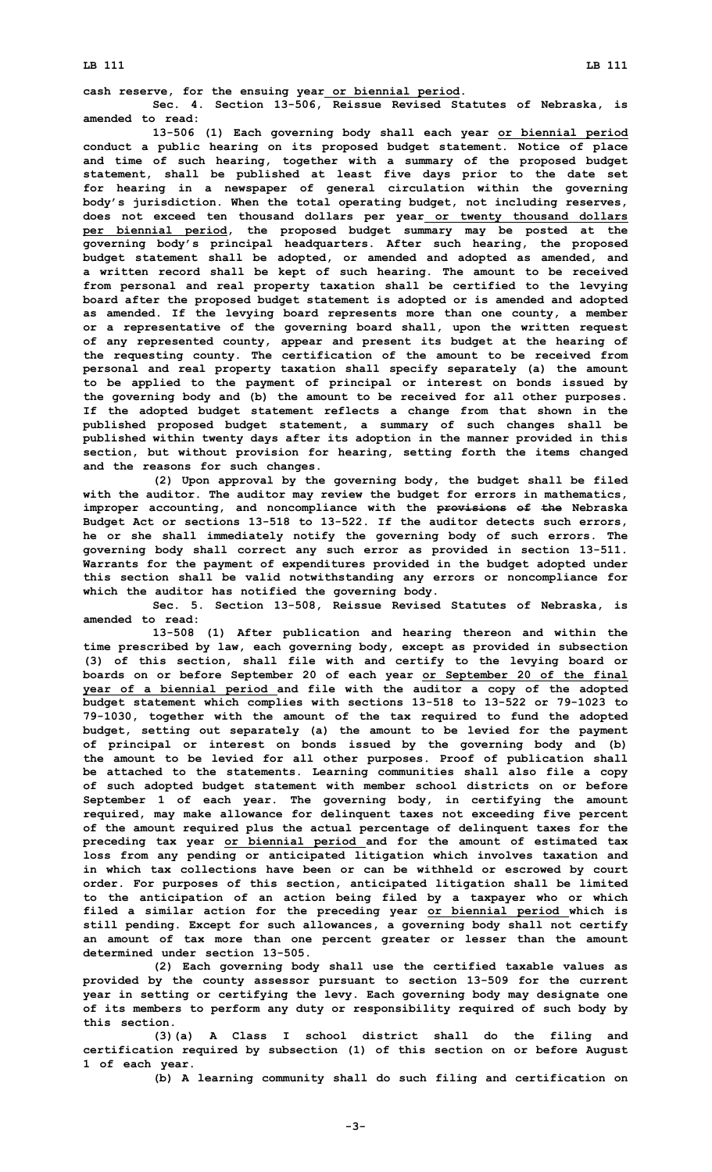## **LB 111 LB 111**

**cash reserve, for the ensuing year or biennial period. Sec. 4. Section 13-506, Reissue Revised Statutes of Nebraska, is amended to read:**

**13-506 (1) Each governing body shall each year or biennial period conduct <sup>a</sup> public hearing on its proposed budget statement. Notice of place and time of such hearing, together with <sup>a</sup> summary of the proposed budget statement, shall be published at least five days prior to the date set for hearing in <sup>a</sup> newspaper of general circulation within the governing body's jurisdiction. When the total operating budget, not including reserves, does not exceed ten thousand dollars per year or twenty thousand dollars per biennial period, the proposed budget summary may be posted at the governing body's principal headquarters. After such hearing, the proposed budget statement shall be adopted, or amended and adopted as amended, and <sup>a</sup> written record shall be kept of such hearing. The amount to be received from personal and real property taxation shall be certified to the levying board after the proposed budget statement is adopted or is amended and adopted as amended. If the levying board represents more than one county, <sup>a</sup> member or <sup>a</sup> representative of the governing board shall, upon the written request of any represented county, appear and present its budget at the hearing of the requesting county. The certification of the amount to be received from personal and real property taxation shall specify separately (a) the amount to be applied to the payment of principal or interest on bonds issued by the governing body and (b) the amount to be received for all other purposes. If the adopted budget statement reflects <sup>a</sup> change from that shown in the published proposed budget statement, <sup>a</sup> summary of such changes shall be published within twenty days after its adoption in the manner provided in this section, but without provision for hearing, setting forth the items changed and the reasons for such changes.**

**(2) Upon approval by the governing body, the budget shall be filed with the auditor. The auditor may review the budget for errors in mathematics, improper accounting, and noncompliance with the provisions of the Nebraska Budget Act or sections 13-518 to 13-522. If the auditor detects such errors, he or she shall immediately notify the governing body of such errors. The governing body shall correct any such error as provided in section 13-511. Warrants for the payment of expenditures provided in the budget adopted under this section shall be valid notwithstanding any errors or noncompliance for which the auditor has notified the governing body.**

**Sec. 5. Section 13-508, Reissue Revised Statutes of Nebraska, is amended to read:**

**13-508 (1) After publication and hearing thereon and within the time prescribed by law, each governing body, except as provided in subsection (3) of this section, shall file with and certify to the levying board or boards on or before September 20 of each year or September 20 of the final year of <sup>a</sup> biennial period and file with the auditor <sup>a</sup> copy of the adopted budget statement which complies with sections 13-518 to 13-522 or 79-1023 to 79-1030, together with the amount of the tax required to fund the adopted budget, setting out separately (a) the amount to be levied for the payment of principal or interest on bonds issued by the governing body and (b) the amount to be levied for all other purposes. Proof of publication shall be attached to the statements. Learning communities shall also file <sup>a</sup> copy of such adopted budget statement with member school districts on or before September 1 of each year. The governing body, in certifying the amount required, may make allowance for delinquent taxes not exceeding five percent of the amount required plus the actual percentage of delinquent taxes for the preceding tax year or biennial period and for the amount of estimated tax loss from any pending or anticipated litigation which involves taxation and in which tax collections have been or can be withheld or escrowed by court order. For purposes of this section, anticipated litigation shall be limited to the anticipation of an action being filed by <sup>a</sup> taxpayer who or which filed <sup>a</sup> similar action for the preceding year or biennial period which is still pending. Except for such allowances, <sup>a</sup> governing body shall not certify an amount of tax more than one percent greater or lesser than the amount determined under section 13-505.**

**(2) Each governing body shall use the certified taxable values as provided by the county assessor pursuant to section 13-509 for the current year in setting or certifying the levy. Each governing body may designate one of its members to perform any duty or responsibility required of such body by this section.**

**(3)(a) <sup>A</sup> Class <sup>I</sup> school district shall do the filing and certification required by subsection (1) of this section on or before August 1 of each year.**

**(b) <sup>A</sup> learning community shall do such filing and certification on**